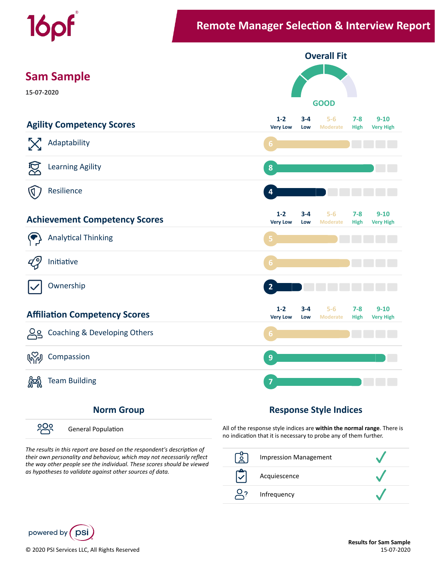

၁၀၀ General Population

## The results in this report are based on the respondent's description of

*their own personality and behaviour, which may not necessarily reflect the way other people see the individual. These scores should be viewed as hypotheses to validate against other sources of data.*

All of the response style indices are **within the normal range**. There is no indication that it is necessary to probe any of them further.



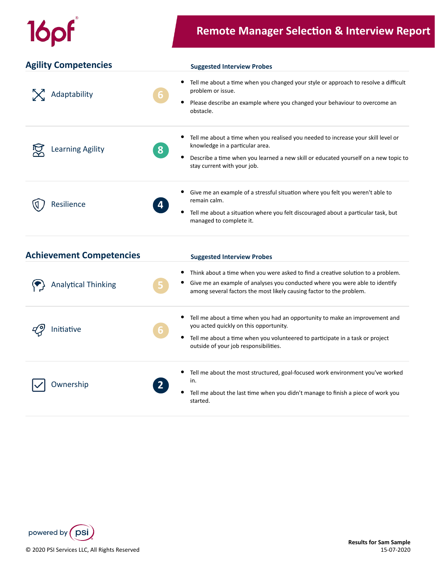|  |                                 | <b>Remote Manager Selection &amp; Interview Report</b>                                                                                                                                                                                          |  |
|--|---------------------------------|-------------------------------------------------------------------------------------------------------------------------------------------------------------------------------------------------------------------------------------------------|--|
|  | <b>Agility Competencies</b>     | <b>Suggested Interview Probes</b>                                                                                                                                                                                                               |  |
|  | Adaptability                    | Tell me about a time when you changed your style or approach to resolve a difficult<br>problem or issue.<br>Please describe an example where you changed your behaviour to overcome an<br>obstacle.                                             |  |
|  | <b>Learning Agility</b><br>8    | Tell me about a time when you realised you needed to increase your skill level or<br>knowledge in a particular area.<br>Describe a time when you learned a new skill or educated yourself on a new topic to<br>stay current with your job.      |  |
|  | Resilience                      | Give me an example of a stressful situation where you felt you weren't able to<br>remain calm.<br>Tell me about a situation where you felt discouraged about a particular task, but<br>managed to complete it.                                  |  |
|  | <b>Achievement Competencies</b> | <b>Suggested Interview Probes</b>                                                                                                                                                                                                               |  |
|  | <b>Analytical Thinking</b>      | Think about a time when you were asked to find a creative solution to a problem.<br>Give me an example of analyses you conducted where you were able to identify<br>among several factors the most likely causing factor to the problem.        |  |
|  | Initiative                      | Tell me about a time when you had an opportunity to make an improvement and<br>you acted quickly on this opportunity.<br>Tell me about a time when you volunteered to participate in a task or project<br>outside of your job responsibilities. |  |
|  | Ownership                       | Tell me about the most structured, goal-focused work environment you've worked<br>in.<br>Tell me about the last time when you didn't manage to finish a piece of work you<br>started.                                                           |  |